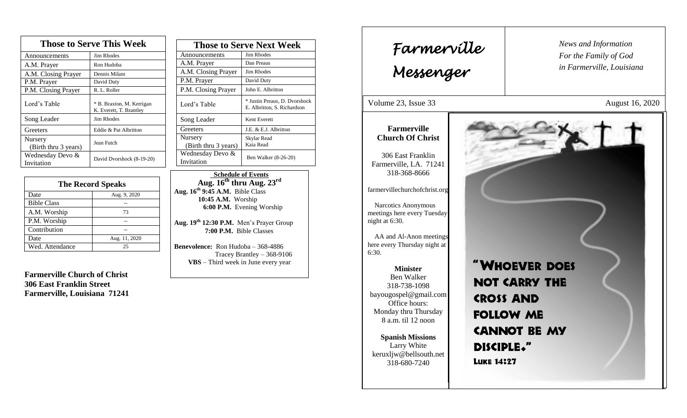| <b>Those to Serve This Week</b> |                                                      |  |
|---------------------------------|------------------------------------------------------|--|
| Announcements                   | <b>Jim Rhodes</b>                                    |  |
| A.M. Prayer                     | Ron Hudoba                                           |  |
| A.M. Closing Prayer             | Dennis Milam                                         |  |
| P.M. Prayer                     | David Duty                                           |  |
| P.M. Closing Prayer             | R. L. Roller                                         |  |
| Lord's Table                    | * B. Braxton, M. Kerrigan<br>K. Everett, T. Brantley |  |
| Song Leader                     | Jim Rhodes                                           |  |
| Greeters                        | Eddie & Pat Albritton                                |  |
| Nursery<br>(Birth thru 3 years) | Jean Futch                                           |  |
| Wednesday Devo &<br>Invitation  | David Dvorshock (8-19-20)                            |  |

| <b>The Record Speaks</b> |               |
|--------------------------|---------------|
| Date                     | Aug. 9, 2020  |
| <b>Bible Class</b>       |               |
| A.M. Worship             | 73            |
| P.M. Worship             |               |
| Contribution             |               |
| Date                     | Aug. 11, 2020 |
| Wed. Attendance          | 25            |

**Farmerville Church of Christ 306 East Franklin Street Farmerville, Louisiana 71241**

| <b>Those to Serve Next Week</b> |                                                              |
|---------------------------------|--------------------------------------------------------------|
| Announcements                   | <b>Jim Rhodes</b>                                            |
| A.M. Prayer                     | Dan Preaus                                                   |
| A.M. Closing Prayer             | <b>Jim Rhodes</b>                                            |
| P.M. Prayer                     | David Duty                                                   |
| P.M. Closing Prayer             | John E. Albritton                                            |
| Lord's Table                    | * Justin Preaus, D. Dvorshock<br>E. Albritton, S. Richardson |
| Song Leader                     | Kent Everett                                                 |
| Greeters                        | J.E. & E.J. Albritton                                        |
| Nursery<br>(Birth thru 3 years) | Skylar Read<br>Kaia Read                                     |
| Wednesday Devo &<br>Invitation  | Ben Walker (8-26-20)                                         |

 **Schedule of Events Aug. 16 th thru Aug. 23rd Aug. 16 th 9:45 A.M.** Bible Class **10:45 A.M.** Worship  **6:00 P.M.** Evening Worship

**Aug. 19 th 12:30 P.M.** Men's Prayer Group **7:00 P.M.** Bible Classes

**Benevolence:** Ron Hudoba – 368-4886 Tracey Brantley – 368-9106 **VBS** – Third week in June every year